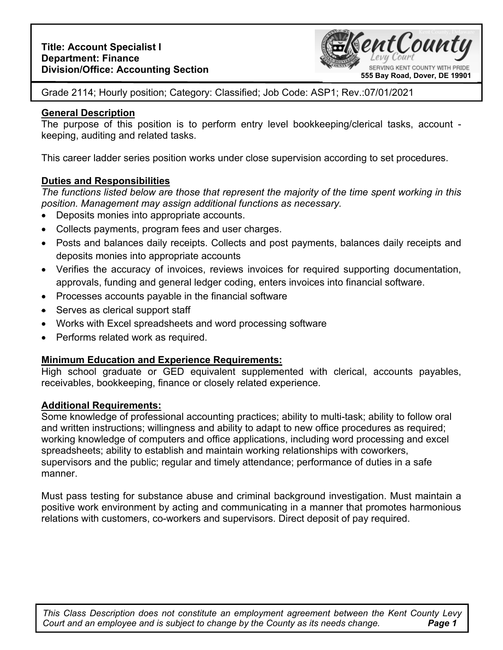

Grade 2114; Hourly position; Category: Classified; Job Code: ASP1; Rev.:07/01/2021

## **General Description**

The purpose of this position is to perform entry level bookkeeping/clerical tasks, account keeping, auditing and related tasks.

This career ladder series position works under close supervision according to set procedures.

# **Duties and Responsibilities**

*The functions listed below are those that represent the majority of the time spent working in this position. Management may assign additional functions as necessary.* 

- Deposits monies into appropriate accounts.
- Collects payments, program fees and user charges.
- Posts and balances daily receipts. Collects and post payments, balances daily receipts and deposits monies into appropriate accounts
- Verifies the accuracy of invoices, reviews invoices for required supporting documentation, approvals, funding and general ledger coding, enters invoices into financial software.
- Processes accounts payable in the financial software
- Serves as clerical support staff
- Works with Excel spreadsheets and word processing software
- Performs related work as required.

# **Minimum Education and Experience Requirements:**

High school graduate or GED equivalent supplemented with clerical, accounts payables, receivables, bookkeeping, finance or closely related experience.

### **Additional Requirements:**

Some knowledge of professional accounting practices; ability to multi-task; ability to follow oral and written instructions; willingness and ability to adapt to new office procedures as required; working knowledge of computers and office applications, including word processing and excel spreadsheets; ability to establish and maintain working relationships with coworkers, supervisors and the public; regular and timely attendance; performance of duties in a safe manner.

Must pass testing for substance abuse and criminal background investigation. Must maintain a positive work environment by acting and communicating in a manner that promotes harmonious relations with customers, co-workers and supervisors. Direct deposit of pay required.

**Page 1** *This Class Description does not constitute an employment agreement between the Kent County Levy Court and an employee and is subject to change by the County as its needs change.*